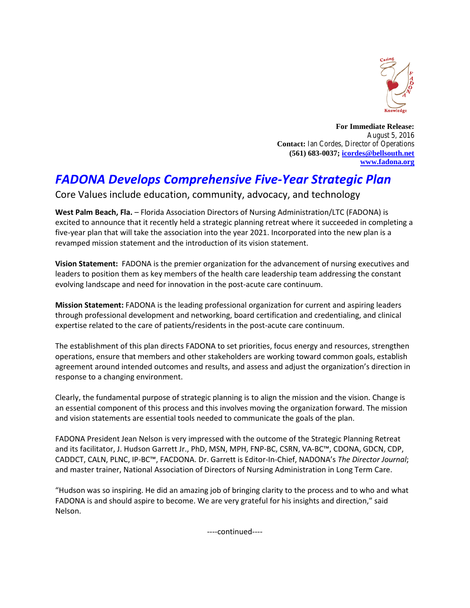

**For Immediate Release:** August 5, 2016 **Contact:** Ian Cordes, Director of Operations **(561) 683-0037; [icordes@bellsouth.net](mailto:icordes@bellsouth.net) [www.fadona.org](http://www.fadona.org/)**

## *FADONA Develops Comprehensive Five-Year Strategic Plan*

Core Values include education, community, advocacy, and technology

**West Palm Beach, Fla.** – Florida Association Directors of Nursing Administration/LTC (FADONA) is excited to announce that it recently held a strategic planning retreat where it succeeded in completing a five-year plan that will take the association into the year 2021. Incorporated into the new plan is a revamped mission statement and the introduction of its vision statement.

**Vision Statement:** FADONA is the premier organization for the advancement of nursing executives and leaders to position them as key members of the health care leadership team addressing the constant evolving landscape and need for innovation in the post-acute care continuum.

**Mission Statement:** FADONA is the leading professional organization for current and aspiring leaders through professional development and networking, board certification and credentialing, and clinical expertise related to the care of patients/residents in the post-acute care continuum.

The establishment of this plan directs FADONA to set priorities, focus energy and resources, strengthen operations, ensure that members and other stakeholders are working toward common goals, establish agreement around intended outcomes and results, and assess and adjust the organization's direction in response to a changing environment.

Clearly, the fundamental purpose of strategic planning is to align the mission and the vision. Change is an essential component of this process and this involves moving the organization forward. The mission and vision statements are essential tools needed to communicate the goals of the plan.

FADONA President Jean Nelson is very impressed with the outcome of the Strategic Planning Retreat and its facilitator, J. Hudson Garrett Jr., PhD, MSN, MPH, FNP-BC, CSRN, VA-BC™, CDONA, GDCN, CDP, CADDCT, CALN, PLNC, IP-BC™, FACDONA. Dr. Garrett is Editor-In-Chief, NADONA's *The Director Journal*; and master trainer, National Association of Directors of Nursing Administration in Long Term Care.

"Hudson was so inspiring. He did an amazing job of bringing clarity to the process and to who and what FADONA is and should aspire to become. We are very grateful for his insights and direction," said Nelson.

----continued----